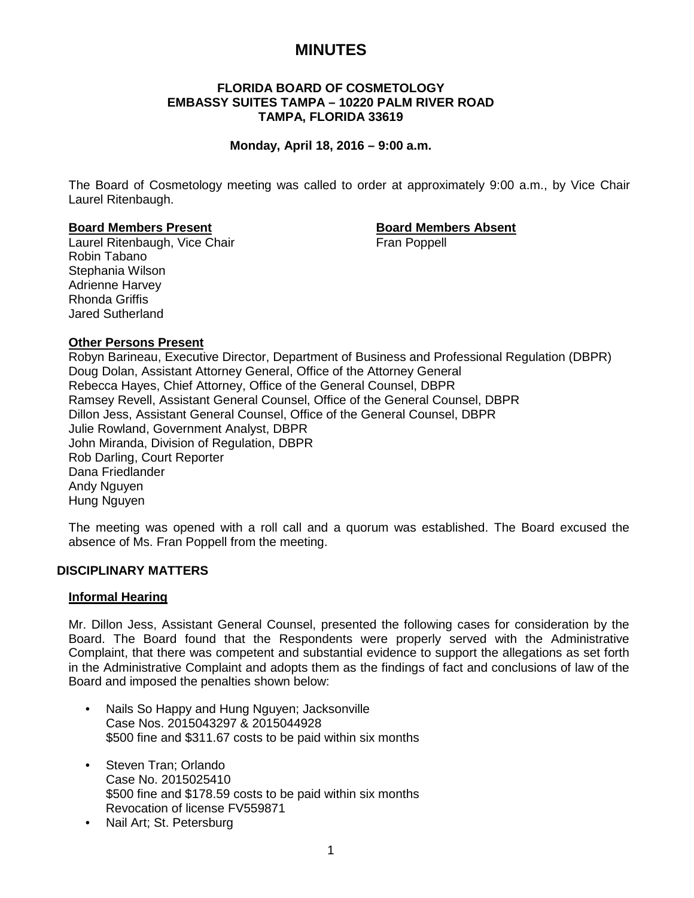# **MINUTES**

## **FLORIDA BOARD OF COSMETOLOGY EMBASSY SUITES TAMPA – 10220 PALM RIVER ROAD TAMPA, FLORIDA 33619**

## **Monday, April 18, 2016 – 9:00 a.m.**

The Board of Cosmetology meeting was called to order at approximately 9:00 a.m., by Vice Chair Laurel Ritenbaugh.

## **Board Members Present Board Members Absent**

Laurel Ritenbaugh, Vice Chair Fran Poppell Robin Tabano Stephania Wilson Adrienne Harvey Rhonda Griffis Jared Sutherland

## **Other Persons Present**

Robyn Barineau, Executive Director, Department of Business and Professional Regulation (DBPR) Doug Dolan, Assistant Attorney General, Office of the Attorney General Rebecca Hayes, Chief Attorney, Office of the General Counsel, DBPR Ramsey Revell, Assistant General Counsel, Office of the General Counsel, DBPR Dillon Jess, Assistant General Counsel, Office of the General Counsel, DBPR Julie Rowland, Government Analyst, DBPR John Miranda, Division of Regulation, DBPR Rob Darling, Court Reporter Dana Friedlander Andy Nguyen Hung Nguyen

The meeting was opened with a roll call and a quorum was established. The Board excused the absence of Ms. Fran Poppell from the meeting.

## **DISCIPLINARY MATTERS**

## **Informal Hearing**

Mr. Dillon Jess, Assistant General Counsel, presented the following cases for consideration by the Board. The Board found that the Respondents were properly served with the Administrative Complaint, that there was competent and substantial evidence to support the allegations as set forth in the Administrative Complaint and adopts them as the findings of fact and conclusions of law of the Board and imposed the penalties shown below:

- Nails So Happy and Hung Nguyen; Jacksonville Case Nos. 2015043297 & 2015044928 \$500 fine and \$311.67 costs to be paid within six months
- Steven Tran; Orlando Case No. 2015025410 \$500 fine and \$178.59 costs to be paid within six months Revocation of license FV559871
- Nail Art; St. Petersburg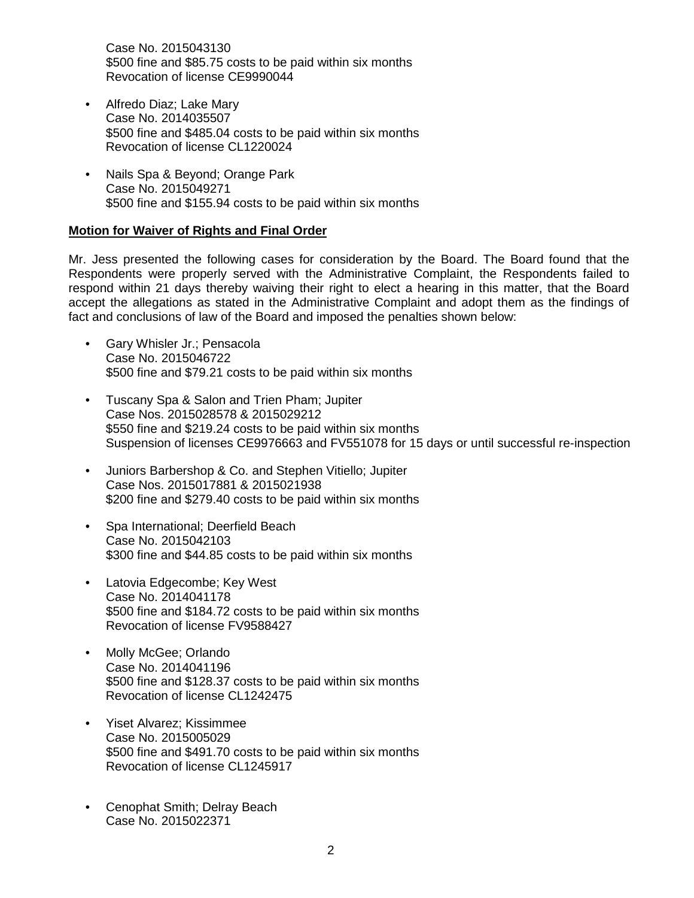Case No. 2015043130 \$500 fine and \$85.75 costs to be paid within six months Revocation of license CE9990044

- Alfredo Diaz; Lake Mary Case No. 2014035507 \$500 fine and \$485.04 costs to be paid within six months Revocation of license CL1220024
- Nails Spa & Beyond; Orange Park Case No. 2015049271 \$500 fine and \$155.94 costs to be paid within six months

## **Motion for Waiver of Rights and Final Order**

Mr. Jess presented the following cases for consideration by the Board. The Board found that the Respondents were properly served with the Administrative Complaint, the Respondents failed to respond within 21 days thereby waiving their right to elect a hearing in this matter, that the Board accept the allegations as stated in the Administrative Complaint and adopt them as the findings of fact and conclusions of law of the Board and imposed the penalties shown below:

- Gary Whisler Jr.; Pensacola Case No. 2015046722 \$500 fine and \$79.21 costs to be paid within six months
- Tuscany Spa & Salon and Trien Pham; Jupiter Case Nos. 2015028578 & 2015029212 \$550 fine and \$219.24 costs to be paid within six months Suspension of licenses CE9976663 and FV551078 for 15 days or until successful re-inspection
- Juniors Barbershop & Co. and Stephen Vitiello; Jupiter Case Nos. 2015017881 & 2015021938 \$200 fine and \$279.40 costs to be paid within six months
- Spa International; Deerfield Beach Case No. 2015042103 \$300 fine and \$44.85 costs to be paid within six months
- Latovia Edgecombe; Key West Case No. 2014041178 \$500 fine and \$184.72 costs to be paid within six months Revocation of license FV9588427
- Molly McGee; Orlando Case No. 2014041196 \$500 fine and \$128.37 costs to be paid within six months Revocation of license CL1242475
- Yiset Alvarez; Kissimmee Case No. 2015005029 \$500 fine and \$491.70 costs to be paid within six months Revocation of license CL1245917
- Cenophat Smith; Delray Beach Case No. 2015022371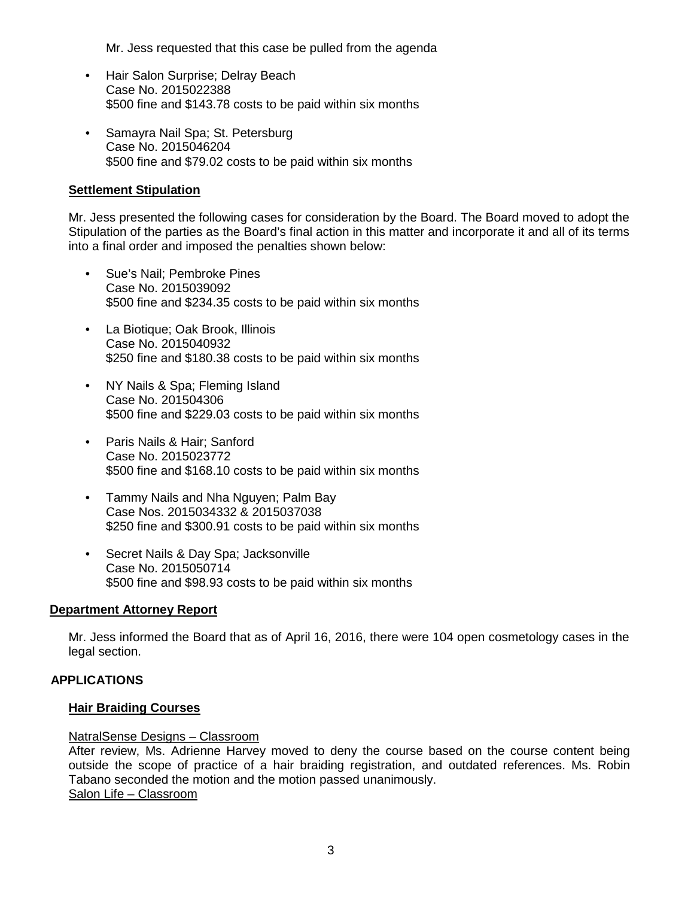Mr. Jess requested that this case be pulled from the agenda

- Hair Salon Surprise; Delray Beach Case No. 2015022388 \$500 fine and \$143.78 costs to be paid within six months
- Samayra Nail Spa; St. Petersburg Case No. 2015046204 \$500 fine and \$79.02 costs to be paid within six months

## **Settlement Stipulation**

Mr. Jess presented the following cases for consideration by the Board. The Board moved to adopt the Stipulation of the parties as the Board's final action in this matter and incorporate it and all of its terms into a final order and imposed the penalties shown below:

- Sue's Nail; Pembroke Pines Case No. 2015039092 \$500 fine and \$234.35 costs to be paid within six months
- La Biotique; Oak Brook, Illinois Case No. 2015040932 \$250 fine and \$180.38 costs to be paid within six months
- NY Nails & Spa; Fleming Island Case No. 201504306 \$500 fine and \$229.03 costs to be paid within six months
- Paris Nails & Hair; Sanford Case No. 2015023772 \$500 fine and \$168.10 costs to be paid within six months
- Tammy Nails and Nha Nguyen; Palm Bay Case Nos. 2015034332 & 2015037038 \$250 fine and \$300.91 costs to be paid within six months
- Secret Nails & Day Spa; Jacksonville Case No. 2015050714 \$500 fine and \$98.93 costs to be paid within six months

## **Department Attorney Report**

Mr. Jess informed the Board that as of April 16, 2016, there were 104 open cosmetology cases in the legal section.

## **APPLICATIONS**

## **Hair Braiding Courses**

## NatralSense Designs – Classroom

After review, Ms. Adrienne Harvey moved to deny the course based on the course content being outside the scope of practice of a hair braiding registration, and outdated references. Ms. Robin Tabano seconded the motion and the motion passed unanimously. Salon Life – Classroom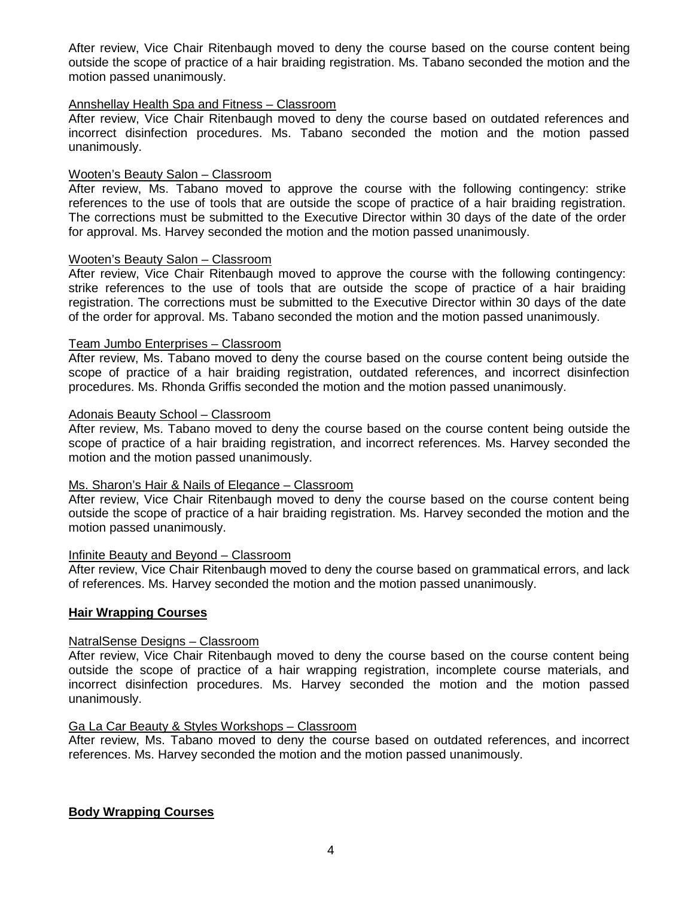After review, Vice Chair Ritenbaugh moved to deny the course based on the course content being outside the scope of practice of a hair braiding registration. Ms. Tabano seconded the motion and the motion passed unanimously.

## Annshellay Health Spa and Fitness – Classroom

After review, Vice Chair Ritenbaugh moved to deny the course based on outdated references and incorrect disinfection procedures. Ms. Tabano seconded the motion and the motion passed unanimously.

## Wooten's Beauty Salon – Classroom

After review, Ms. Tabano moved to approve the course with the following contingency: strike references to the use of tools that are outside the scope of practice of a hair braiding registration. The corrections must be submitted to the Executive Director within 30 days of the date of the order for approval. Ms. Harvey seconded the motion and the motion passed unanimously.

#### Wooten's Beauty Salon – Classroom

After review, Vice Chair Ritenbaugh moved to approve the course with the following contingency: strike references to the use of tools that are outside the scope of practice of a hair braiding registration. The corrections must be submitted to the Executive Director within 30 days of the date of the order for approval. Ms. Tabano seconded the motion and the motion passed unanimously.

#### Team Jumbo Enterprises – Classroom

After review, Ms. Tabano moved to deny the course based on the course content being outside the scope of practice of a hair braiding registration, outdated references, and incorrect disinfection procedures. Ms. Rhonda Griffis seconded the motion and the motion passed unanimously.

#### Adonais Beauty School – Classroom

After review, Ms. Tabano moved to deny the course based on the course content being outside the scope of practice of a hair braiding registration, and incorrect references. Ms. Harvey seconded the motion and the motion passed unanimously.

## Ms. Sharon's Hair & Nails of Elegance – Classroom

After review, Vice Chair Ritenbaugh moved to deny the course based on the course content being outside the scope of practice of a hair braiding registration. Ms. Harvey seconded the motion and the motion passed unanimously.

## Infinite Beauty and Beyond – Classroom

After review, Vice Chair Ritenbaugh moved to deny the course based on grammatical errors, and lack of references. Ms. Harvey seconded the motion and the motion passed unanimously.

## **Hair Wrapping Courses**

## NatralSense Designs – Classroom

After review, Vice Chair Ritenbaugh moved to deny the course based on the course content being outside the scope of practice of a hair wrapping registration, incomplete course materials, and incorrect disinfection procedures. Ms. Harvey seconded the motion and the motion passed unanimously.

## Ga La Car Beauty & Styles Workshops – Classroom

After review, Ms. Tabano moved to deny the course based on outdated references, and incorrect references. Ms. Harvey seconded the motion and the motion passed unanimously.

## **Body Wrapping Courses**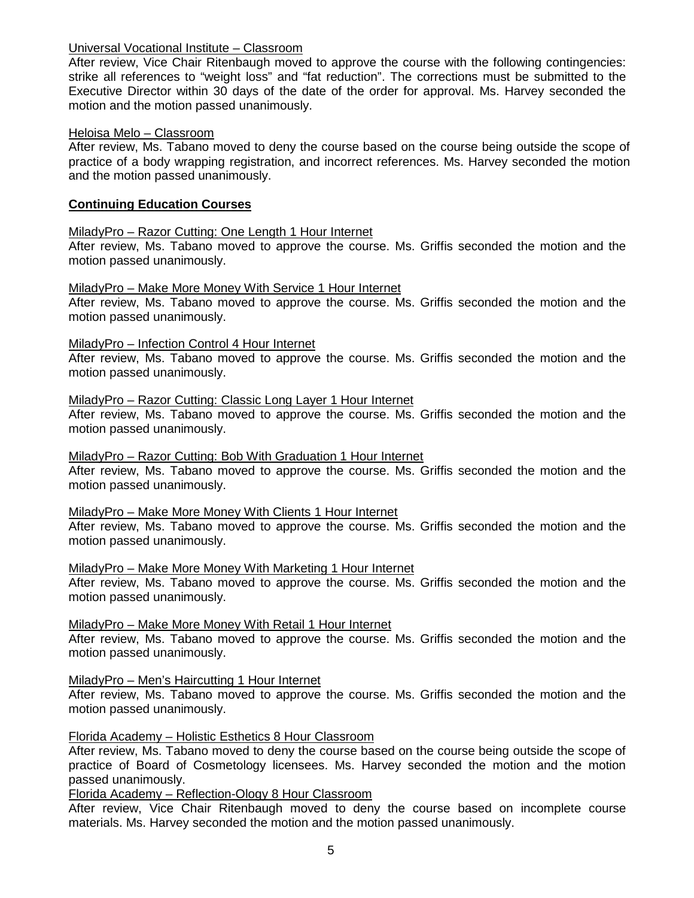## Universal Vocational Institute – Classroom

After review, Vice Chair Ritenbaugh moved to approve the course with the following contingencies: strike all references to "weight loss" and "fat reduction". The corrections must be submitted to the Executive Director within 30 days of the date of the order for approval. Ms. Harvey seconded the motion and the motion passed unanimously.

## Heloisa Melo – Classroom

After review, Ms. Tabano moved to deny the course based on the course being outside the scope of practice of a body wrapping registration, and incorrect references. Ms. Harvey seconded the motion and the motion passed unanimously.

## **Continuing Education Courses**

## MiladyPro – Razor Cutting: One Length 1 Hour Internet

After review, Ms. Tabano moved to approve the course. Ms. Griffis seconded the motion and the motion passed unanimously.

## MiladyPro – Make More Money With Service 1 Hour Internet

After review, Ms. Tabano moved to approve the course. Ms. Griffis seconded the motion and the motion passed unanimously.

## MiladyPro – Infection Control 4 Hour Internet

After review, Ms. Tabano moved to approve the course. Ms. Griffis seconded the motion and the motion passed unanimously.

## MiladyPro – Razor Cutting: Classic Long Layer 1 Hour Internet

After review, Ms. Tabano moved to approve the course. Ms. Griffis seconded the motion and the motion passed unanimously.

## MiladyPro – Razor Cutting: Bob With Graduation 1 Hour Internet

After review, Ms. Tabano moved to approve the course. Ms. Griffis seconded the motion and the motion passed unanimously.

## MiladyPro – Make More Money With Clients 1 Hour Internet

After review, Ms. Tabano moved to approve the course. Ms. Griffis seconded the motion and the motion passed unanimously.

## MiladyPro – Make More Money With Marketing 1 Hour Internet

After review, Ms. Tabano moved to approve the course. Ms. Griffis seconded the motion and the motion passed unanimously.

## MiladyPro – Make More Money With Retail 1 Hour Internet

After review, Ms. Tabano moved to approve the course. Ms. Griffis seconded the motion and the motion passed unanimously.

## MiladyPro – Men's Haircutting 1 Hour Internet

After review, Ms. Tabano moved to approve the course. Ms. Griffis seconded the motion and the motion passed unanimously.

## Florida Academy – Holistic Esthetics 8 Hour Classroom

After review, Ms. Tabano moved to deny the course based on the course being outside the scope of practice of Board of Cosmetology licensees. Ms. Harvey seconded the motion and the motion passed unanimously.

## Florida Academy – Reflection-Ology 8 Hour Classroom

After review, Vice Chair Ritenbaugh moved to deny the course based on incomplete course materials. Ms. Harvey seconded the motion and the motion passed unanimously.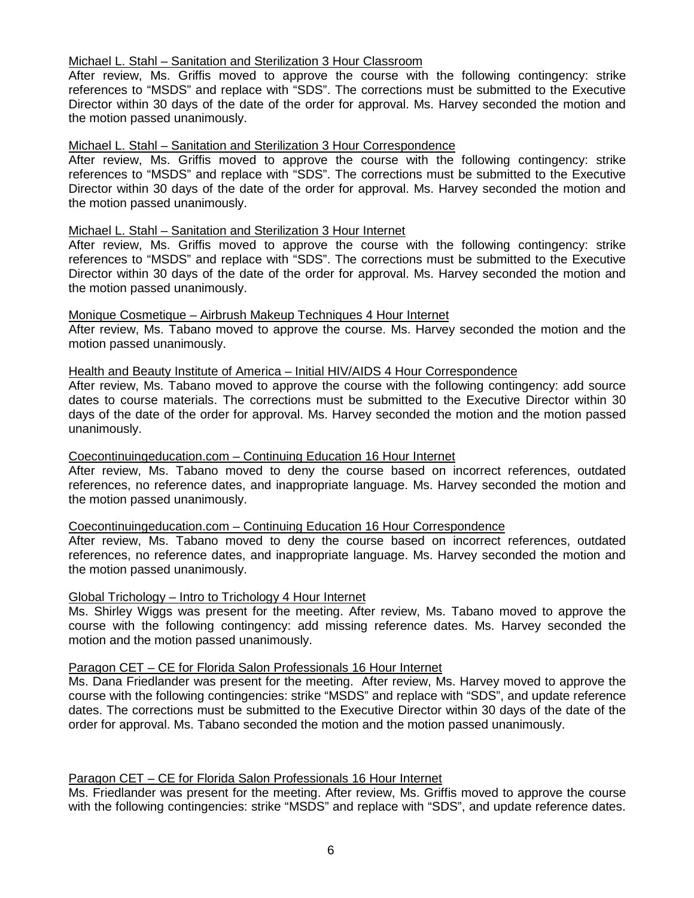## Michael L. Stahl – Sanitation and Sterilization 3 Hour Classroom

After review, Ms. Griffis moved to approve the course with the following contingency: strike references to "MSDS" and replace with "SDS". The corrections must be submitted to the Executive Director within 30 days of the date of the order for approval. Ms. Harvey seconded the motion and the motion passed unanimously.

## Michael L. Stahl – Sanitation and Sterilization 3 Hour Correspondence

After review, Ms. Griffis moved to approve the course with the following contingency: strike references to "MSDS" and replace with "SDS". The corrections must be submitted to the Executive Director within 30 days of the date of the order for approval. Ms. Harvey seconded the motion and the motion passed unanimously.

## Michael L. Stahl – Sanitation and Sterilization 3 Hour Internet

After review, Ms. Griffis moved to approve the course with the following contingency: strike references to "MSDS" and replace with "SDS". The corrections must be submitted to the Executive Director within 30 days of the date of the order for approval. Ms. Harvey seconded the motion and the motion passed unanimously.

## Monique Cosmetique – Airbrush Makeup Techniques 4 Hour Internet

After review, Ms. Tabano moved to approve the course. Ms. Harvey seconded the motion and the motion passed unanimously.

## Health and Beauty Institute of America – Initial HIV/AIDS 4 Hour Correspondence

After review, Ms. Tabano moved to approve the course with the following contingency: add source dates to course materials. The corrections must be submitted to the Executive Director within 30 days of the date of the order for approval. Ms. Harvey seconded the motion and the motion passed unanimously.

## Coecontinuingeducation.com – Continuing Education 16 Hour Internet

After review, Ms. Tabano moved to deny the course based on incorrect references, outdated references, no reference dates, and inappropriate language. Ms. Harvey seconded the motion and the motion passed unanimously.

## Coecontinuingeducation.com – Continuing Education 16 Hour Correspondence

After review, Ms. Tabano moved to deny the course based on incorrect references, outdated references, no reference dates, and inappropriate language. Ms. Harvey seconded the motion and the motion passed unanimously.

## Global Trichology – Intro to Trichology 4 Hour Internet

Ms. Shirley Wiggs was present for the meeting. After review, Ms. Tabano moved to approve the course with the following contingency: add missing reference dates. Ms. Harvey seconded the motion and the motion passed unanimously.

## Paragon CET – CE for Florida Salon Professionals 16 Hour Internet

Ms. Dana Friedlander was present for the meeting. After review, Ms. Harvey moved to approve the course with the following contingencies: strike "MSDS" and replace with "SDS", and update reference dates. The corrections must be submitted to the Executive Director within 30 days of the date of the order for approval. Ms. Tabano seconded the motion and the motion passed unanimously.

## Paragon CET – CE for Florida Salon Professionals 16 Hour Internet

Ms. Friedlander was present for the meeting. After review, Ms. Griffis moved to approve the course with the following contingencies: strike "MSDS" and replace with "SDS", and update reference dates.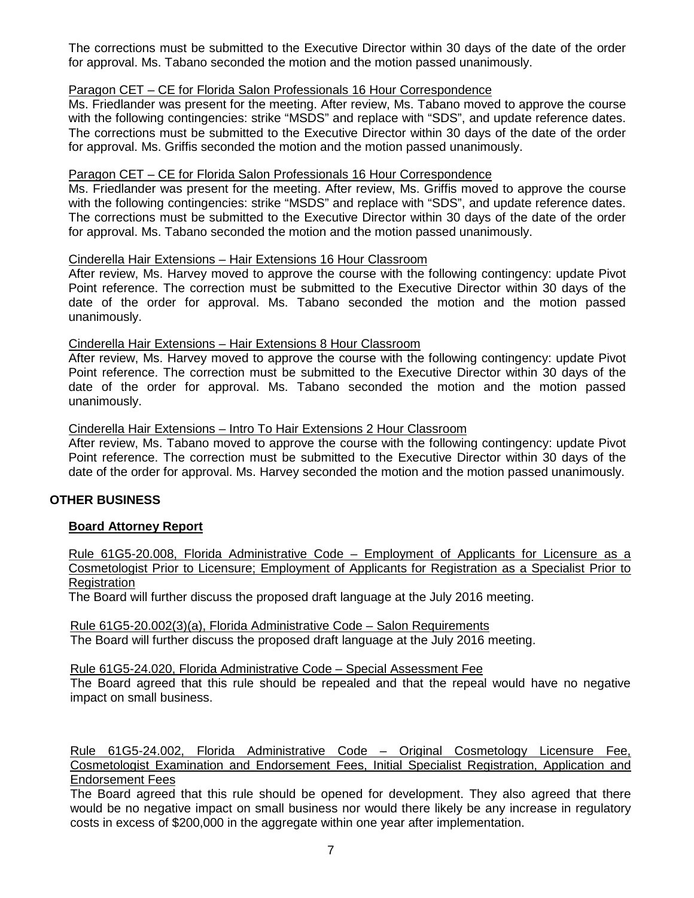The corrections must be submitted to the Executive Director within 30 days of the date of the order for approval. Ms. Tabano seconded the motion and the motion passed unanimously.

## Paragon CET – CE for Florida Salon Professionals 16 Hour Correspondence

Ms. Friedlander was present for the meeting. After review, Ms. Tabano moved to approve the course with the following contingencies: strike "MSDS" and replace with "SDS", and update reference dates. The corrections must be submitted to the Executive Director within 30 days of the date of the order for approval. Ms. Griffis seconded the motion and the motion passed unanimously.

## Paragon CET – CE for Florida Salon Professionals 16 Hour Correspondence

Ms. Friedlander was present for the meeting. After review, Ms. Griffis moved to approve the course with the following contingencies: strike "MSDS" and replace with "SDS", and update reference dates. The corrections must be submitted to the Executive Director within 30 days of the date of the order for approval. Ms. Tabano seconded the motion and the motion passed unanimously.

## Cinderella Hair Extensions – Hair Extensions 16 Hour Classroom

After review, Ms. Harvey moved to approve the course with the following contingency: update Pivot Point reference. The correction must be submitted to the Executive Director within 30 days of the date of the order for approval. Ms. Tabano seconded the motion and the motion passed unanimously.

## Cinderella Hair Extensions – Hair Extensions 8 Hour Classroom

After review, Ms. Harvey moved to approve the course with the following contingency: update Pivot Point reference. The correction must be submitted to the Executive Director within 30 days of the date of the order for approval. Ms. Tabano seconded the motion and the motion passed unanimously.

## Cinderella Hair Extensions – Intro To Hair Extensions 2 Hour Classroom

After review, Ms. Tabano moved to approve the course with the following contingency: update Pivot Point reference. The correction must be submitted to the Executive Director within 30 days of the date of the order for approval. Ms. Harvey seconded the motion and the motion passed unanimously.

## **OTHER BUSINESS**

## **Board Attorney Report**

Rule 61G5-20.008, Florida Administrative Code – Employment of Applicants for Licensure as a Cosmetologist Prior to Licensure; Employment of Applicants for Registration as a Specialist Prior to **Registration** 

The Board will further discuss the proposed draft language at the July 2016 meeting.

Rule 61G5-20.002(3)(a), Florida Administrative Code – Salon Requirements The Board will further discuss the proposed draft language at the July 2016 meeting.

Rule 61G5-24.020, Florida Administrative Code – Special Assessment Fee

The Board agreed that this rule should be repealed and that the repeal would have no negative impact on small business.

Rule 61G5-24.002, Florida Administrative Code – Original Cosmetology Licensure Fee, Cosmetologist Examination and Endorsement Fees, Initial Specialist Registration, Application and Endorsement Fees

The Board agreed that this rule should be opened for development. They also agreed that there would be no negative impact on small business nor would there likely be any increase in regulatory costs in excess of \$200,000 in the aggregate within one year after implementation.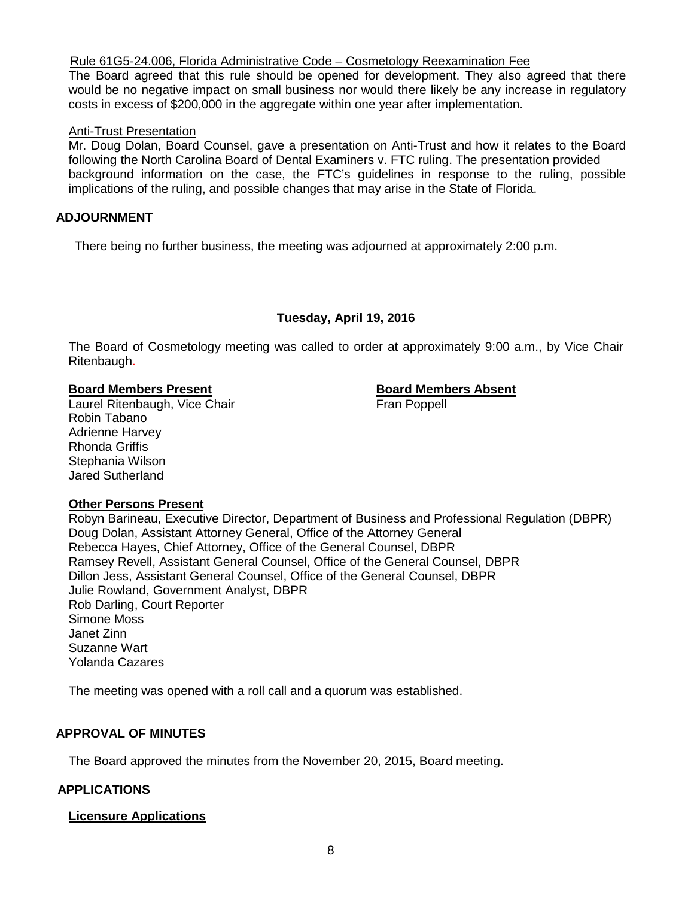## Rule 61G5-24.006, Florida Administrative Code – Cosmetology Reexamination Fee

The Board agreed that this rule should be opened for development. They also agreed that there would be no negative impact on small business nor would there likely be any increase in regulatory costs in excess of \$200,000 in the aggregate within one year after implementation.

## Anti-Trust Presentation

Mr. Doug Dolan, Board Counsel, gave a presentation on Anti-Trust and how it relates to the Board following the North Carolina Board of Dental Examiners v. FTC ruling. The presentation provided background information on the case, the FTC's guidelines in response to the ruling, possible implications of the ruling, and possible changes that may arise in the State of Florida.

## **ADJOURNMENT**

There being no further business, the meeting was adjourned at approximately 2:00 p.m.

## **Tuesday, April 19, 2016**

The Board of Cosmetology meeting was called to order at approximately 9:00 a.m., by Vice Chair Ritenbaugh.

**Board Members Present**<br> **Example 20 Example 20 Example 20 Example 20 Eran Poppell**<br> **Board Members Absent** Laurel Ritenbaugh, Vice Chair Robin Tabano Adrienne Harvey Rhonda Griffis Stephania Wilson Jared Sutherland

## **Other Persons Present**

Robyn Barineau, Executive Director, Department of Business and Professional Regulation (DBPR) Doug Dolan, Assistant Attorney General, Office of the Attorney General Rebecca Hayes, Chief Attorney, Office of the General Counsel, DBPR Ramsey Revell, Assistant General Counsel, Office of the General Counsel, DBPR Dillon Jess, Assistant General Counsel, Office of the General Counsel, DBPR Julie Rowland, Government Analyst, DBPR Rob Darling, Court Reporter Simone Moss Janet Zinn Suzanne Wart Yolanda Cazares

The meeting was opened with a roll call and a quorum was established.

## **APPROVAL OF MINUTES**

The Board approved the minutes from the November 20, 2015, Board meeting.

## **APPLICATIONS**

## **Licensure Applications**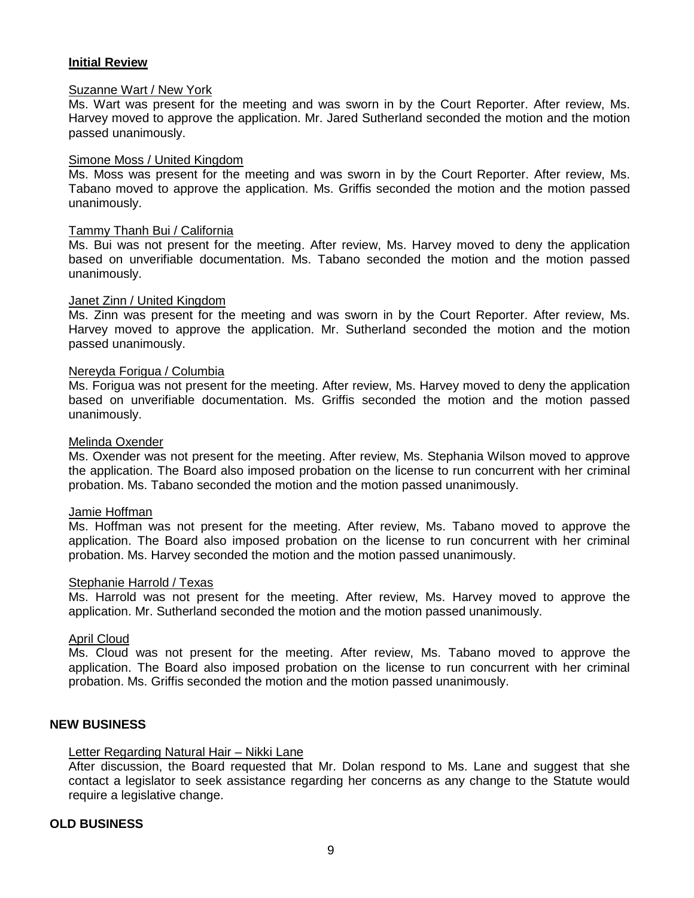## **Initial Review**

## Suzanne Wart / New York

Ms. Wart was present for the meeting and was sworn in by the Court Reporter. After review, Ms. Harvey moved to approve the application. Mr. Jared Sutherland seconded the motion and the motion passed unanimously.

#### Simone Moss / United Kingdom

Ms. Moss was present for the meeting and was sworn in by the Court Reporter. After review, Ms. Tabano moved to approve the application. Ms. Griffis seconded the motion and the motion passed unanimously.

#### Tammy Thanh Bui / California

Ms. Bui was not present for the meeting. After review, Ms. Harvey moved to deny the application based on unverifiable documentation. Ms. Tabano seconded the motion and the motion passed unanimously.

#### Janet Zinn / United Kingdom

Ms. Zinn was present for the meeting and was sworn in by the Court Reporter. After review, Ms. Harvey moved to approve the application. Mr. Sutherland seconded the motion and the motion passed unanimously.

#### Nereyda Forigua / Columbia

Ms. Forigua was not present for the meeting. After review, Ms. Harvey moved to deny the application based on unverifiable documentation. Ms. Griffis seconded the motion and the motion passed unanimously.

#### Melinda Oxender

Ms. Oxender was not present for the meeting. After review, Ms. Stephania Wilson moved to approve the application. The Board also imposed probation on the license to run concurrent with her criminal probation. Ms. Tabano seconded the motion and the motion passed unanimously.

#### Jamie Hoffman

Ms. Hoffman was not present for the meeting. After review, Ms. Tabano moved to approve the application. The Board also imposed probation on the license to run concurrent with her criminal probation. Ms. Harvey seconded the motion and the motion passed unanimously.

#### Stephanie Harrold / Texas

Ms. Harrold was not present for the meeting. After review, Ms. Harvey moved to approve the application. Mr. Sutherland seconded the motion and the motion passed unanimously.

## April Cloud

Ms. Cloud was not present for the meeting. After review, Ms. Tabano moved to approve the application. The Board also imposed probation on the license to run concurrent with her criminal probation. Ms. Griffis seconded the motion and the motion passed unanimously.

## **NEW BUSINESS**

## Letter Regarding Natural Hair – Nikki Lane

After discussion, the Board requested that Mr. Dolan respond to Ms. Lane and suggest that she contact a legislator to seek assistance regarding her concerns as any change to the Statute would require a legislative change.

## **OLD BUSINESS**